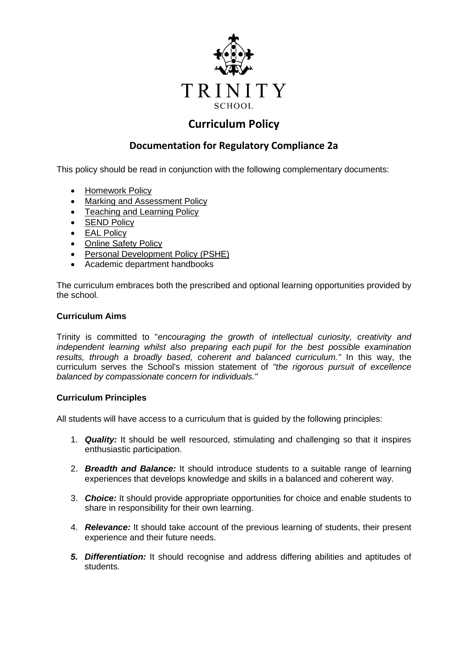

# **Curriculum Policy**

## **Documentation for Regulatory Compliance 2a**

This policy should be read in conjunction with the following complementary documents:

- [Homework Policy](file://///vserver11/staff/Read/Policies/Academic%20-%20Homework%20Policy.docx)
- [Marking and Assessment Policy](file://///vserver11/staff/Read/Policies/Academic%20-%20Marking,%20Assessment%20and%20Reporting%20Policy.docx)
- [Teaching and Learning Policy](file://///vserver11/staff/Read/Policies/Academic%20-%20Teaching%20and%20Learning%20Policy.docx)
- **[SEND Policy](file://///vserver11/staff/Read/Policies/Academic%20-%20Special%20Educational%20Needs%20and%20Disabilities%20Policy.docx)**
- [EAL Policy](file://///vserver11/staff/Read/Policies/Academic%20-%20EAL%20Policy.docx)
- [Online Safety Policy](file://///vserver11/staff/Read/Policies/ICT%20-%20Online%20Safety%20Policy.docx)
- [Personal Development Policy \(PSHE\)](file://///vserver11/staff/Read/Policies/Pastoral%20-%20Personal%20Development%20Policy.docx)
- Academic department handbooks

The curriculum embraces both the prescribed and optional learning opportunities provided by the school.

#### **Curriculum Aims**

Trinity is committed to "*encouraging the growth of intellectual curiosity, creativity and independent learning whilst also preparing each pupil for the best possible examination results, through a broadly based, coherent and balanced curriculum."* In this way, the curriculum serves the School's mission statement of *"the rigorous pursuit of excellence balanced by compassionate concern for individuals."*

#### **Curriculum Principles**

All students will have access to a curriculum that is guided by the following principles:

- 1. *Quality:* It should be well resourced, stimulating and challenging so that it inspires enthusiastic participation.
- 2. *Breadth and Balance:* It should introduce students to a suitable range of learning experiences that develops knowledge and skills in a balanced and coherent way.
- 3. *Choice:* It should provide appropriate opportunities for choice and enable students to share in responsibility for their own learning.
- 4. *Relevance:* It should take account of the previous learning of students, their present experience and their future needs.
- *5. Differentiation:* It should recognise and address differing abilities and aptitudes of students.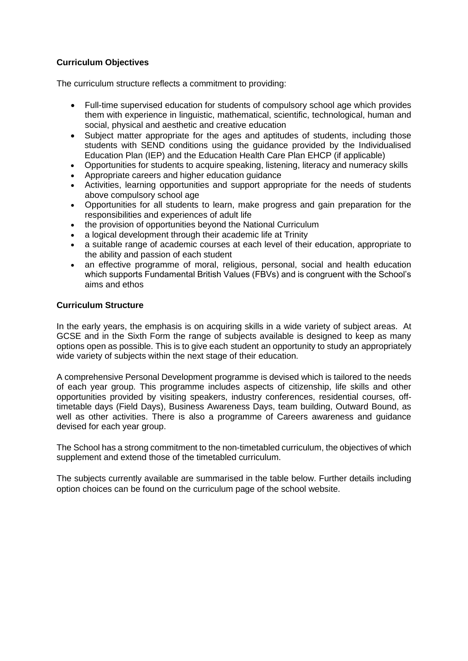## **Curriculum Objectives**

The curriculum structure reflects a commitment to providing:

- Full-time supervised education for students of compulsory school age which provides them with experience in linguistic, mathematical, scientific, technological, human and social, physical and aesthetic and creative education
- Subject matter appropriate for the ages and aptitudes of students, including those students with SEND conditions using the guidance provided by the Individualised Education Plan (IEP) and the Education Health Care Plan EHCP (if applicable)
- Opportunities for students to acquire speaking, listening, literacy and numeracy skills
- Appropriate careers and higher education guidance
- Activities, learning opportunities and support appropriate for the needs of students above compulsory school age
- Opportunities for all students to learn, make progress and gain preparation for the responsibilities and experiences of adult life
- the provision of opportunities beyond the National Curriculum
- a logical development through their academic life at Trinity
- a suitable range of academic courses at each level of their education, appropriate to the ability and passion of each student
- an effective programme of moral, religious, personal, social and health education which supports Fundamental British Values (FBVs) and is congruent with the School's aims and ethos

#### **Curriculum Structure**

In the early years, the emphasis is on acquiring skills in a wide variety of subject areas. At GCSE and in the Sixth Form the range of subjects available is designed to keep as many options open as possible. This is to give each student an opportunity to study an appropriately wide variety of subjects within the next stage of their education.

A comprehensive Personal Development programme is devised which is tailored to the needs of each year group. This programme includes aspects of citizenship, life skills and other opportunities provided by visiting speakers, industry conferences, residential courses, offtimetable days (Field Days), Business Awareness Days, team building, Outward Bound, as well as other activities. There is also a programme of Careers awareness and guidance devised for each year group.

The School has a strong commitment to the non-timetabled curriculum, the objectives of which supplement and extend those of the timetabled curriculum.

The subjects currently available are summarised in the table below. Further details including option choices can be found on the curriculum page of the school website.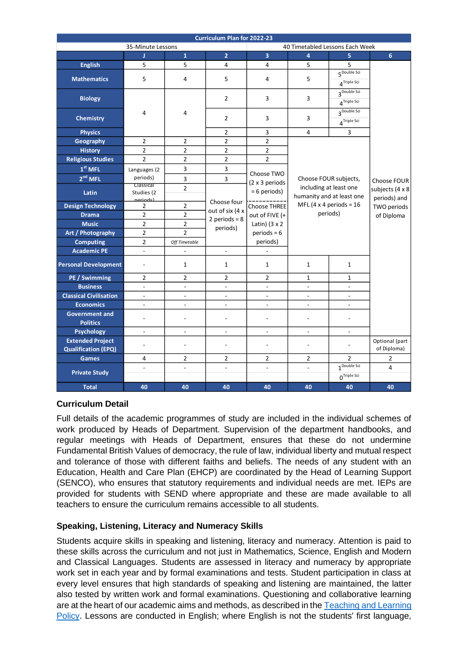| <b>Curriculum Plan for 2022-23</b> |                          |                          |                                                               |                                 |                                                 |                                           |                                           |  |
|------------------------------------|--------------------------|--------------------------|---------------------------------------------------------------|---------------------------------|-------------------------------------------------|-------------------------------------------|-------------------------------------------|--|
|                                    | 35-Minute Lessons        |                          |                                                               | 40 Timetabled Lessons Each Week |                                                 |                                           |                                           |  |
|                                    | л                        | $\mathbf{1}$             | $\overline{2}$                                                | $\overline{3}$                  | $\overline{a}$                                  | 5                                         | 6                                         |  |
| <b>English</b>                     | 5                        | 5                        | 4                                                             | 4                               | 5                                               | 5                                         |                                           |  |
| <b>Mathematics</b>                 | 5                        | 4                        | 5                                                             | 4                               | 5                                               | 5 <sup>Double Sci</sup>                   |                                           |  |
|                                    |                          |                          |                                                               |                                 |                                                 | 4 <sup>Triple</sup> Sci                   |                                           |  |
|                                    |                          |                          |                                                               |                                 |                                                 | 3 <sup>Double Sci</sup>                   |                                           |  |
| <b>Biology</b>                     |                          |                          | $\overline{2}$                                                | 3                               | 3                                               | 4 <sup>Triple Sci</sup>                   |                                           |  |
| <b>Chemistry</b>                   | 4                        | 4                        |                                                               |                                 |                                                 | 3 <sup>Double Sci</sup>                   |                                           |  |
|                                    |                          |                          | $\overline{2}$                                                | 3                               | 3                                               | $\boldsymbol{\Delta}^{\text{Triple Sci}}$ |                                           |  |
| <b>Physics</b>                     |                          |                          | $\overline{2}$                                                | 3                               | 4                                               | 3                                         |                                           |  |
| <b>Geography</b>                   | $\overline{2}$           | $\overline{2}$           | $\overline{2}$                                                | $\overline{2}$                  |                                                 |                                           |                                           |  |
| <b>History</b>                     | $\overline{2}$           | $\overline{2}$           | $\overline{2}$                                                | $\overline{2}$                  | Choose FOUR subjects,<br>including at least one |                                           |                                           |  |
| <b>Religious Studies</b>           | $\overline{2}$           | $\overline{2}$           | $\overline{2}$                                                | $\overline{2}$                  |                                                 |                                           |                                           |  |
| $1st$ MFL                          | Languages (2             | 3                        | 3                                                             |                                 |                                                 |                                           |                                           |  |
| 2 <sup>nd</sup> MFL                | periods)                 | 3                        | 3                                                             | Choose TWO                      |                                                 |                                           | Choose FOUR                               |  |
|                                    | Classical                | $\overline{2}$           |                                                               | (2 x 3 periods                  |                                                 |                                           |                                           |  |
| Latin                              | Studies (2               |                          |                                                               | = 6 periods)                    |                                                 | humanity and at least one                 | subjects (4 x 8                           |  |
| <b>Design Technology</b>           | neriodel<br>2            | $\overline{2}$           | Choose four<br>out of six (4 x<br>2 periods = $8$<br>periods) | <b>Choose THREE</b>             | MFL (4 x 4 periods = $16$<br>periods)           |                                           | periods) and<br>TWO periods<br>of Diploma |  |
| <b>Drama</b>                       | $\overline{2}$           | $\overline{2}$           |                                                               | out of FIVE (+                  |                                                 |                                           |                                           |  |
| <b>Music</b>                       | $\overline{2}$           | $\overline{2}$           |                                                               | Latin) $(3 \times 2)$           |                                                 |                                           |                                           |  |
| Art / Photography                  | $\overline{2}$           | $\overline{2}$           |                                                               | $periods = 6$                   |                                                 |                                           |                                           |  |
| <b>Computing</b>                   | $\overline{2}$           | Off Timetable            |                                                               | periods)                        |                                                 |                                           |                                           |  |
| <b>Academic PE</b>                 | $\overline{\phantom{a}}$ | $\overline{\phantom{a}}$ | $\overline{\phantom{a}}$                                      | $\overline{\phantom{a}}$        |                                                 |                                           |                                           |  |
|                                    |                          |                          |                                                               |                                 |                                                 |                                           |                                           |  |
| <b>Personal Development</b>        | $\overline{a}$           | $\mathbf{1}$             | 1                                                             | 1                               | 1                                               | 1                                         |                                           |  |
| PE / Swimming                      | 2                        | $\overline{2}$           | $\overline{2}$                                                | 2                               | 1                                               | $\mathbf{1}$                              |                                           |  |
| <b>Business</b>                    | $\overline{a}$           | $\overline{a}$           | $\overline{a}$                                                | $\overline{a}$                  | $\overline{a}$                                  |                                           |                                           |  |
| <b>Classical Civilisation</b>      | $\overline{\phantom{a}}$ | $\overline{\phantom{a}}$ | $\overline{a}$                                                | $\overline{a}$                  | $\overline{\phantom{a}}$                        | $\overline{a}$                            |                                           |  |
| <b>Economics</b>                   | $\overline{\phantom{a}}$ | $\overline{\phantom{a}}$ | $\overline{\phantom{a}}$                                      | $\overline{\phantom{a}}$        | $\overline{\phantom{a}}$                        | $\overline{a}$                            |                                           |  |
| <b>Government and</b>              |                          |                          |                                                               |                                 |                                                 |                                           |                                           |  |
| <b>Politics</b>                    | $\overline{a}$           | $\overline{a}$           |                                                               | $\overline{a}$                  | $\overline{a}$                                  |                                           |                                           |  |
| <b>Psychology</b>                  | $\overline{\phantom{a}}$ | $\overline{\phantom{a}}$ | $\overline{\phantom{a}}$                                      | $\overline{\phantom{a}}$        | $\overline{\phantom{a}}$                        | $\overline{\phantom{0}}$                  |                                           |  |
| <b>Extended Project</b>            |                          |                          |                                                               |                                 |                                                 |                                           | Optional (part                            |  |
| <b>Qualification (EPQ)</b>         | $\overline{a}$           | $\overline{a}$           |                                                               | $\overline{a}$                  |                                                 |                                           | of Diploma)                               |  |
| <b>Games</b>                       | 4                        | $\overline{2}$           | 2                                                             | 2                               | $\overline{2}$                                  | $\overline{2}$                            | 2                                         |  |
| <b>Private Study</b>               | $\frac{1}{2}$            | $\overline{\phantom{a}}$ | $\frac{1}{2}$                                                 | $\frac{1}{2}$                   | $\overline{\phantom{a}}$                        | $1^{\text{Double Sci}}$                   | 4                                         |  |
|                                    |                          |                          |                                                               |                                 |                                                 | $0Triple$ Sci                             |                                           |  |
| <b>Total</b>                       | 40                       | 40                       | 40                                                            | 40                              | 40                                              | 40                                        | 40                                        |  |

## **Curriculum Detail**

Full details of the academic programmes of study are included in the individual schemes of work produced by Heads of Department. Supervision of the department handbooks, and regular meetings with Heads of Department, ensures that these do not undermine Fundamental British Values of democracy, the rule of law, individual liberty and mutual respect and tolerance of those with different faiths and beliefs. The needs of any student with an Education, Health and Care Plan (EHCP) are coordinated by the Head of Learning Support (SENCO), who ensures that statutory requirements and individual needs are met. IEPs are provided for students with SEND where appropriate and these are made available to all teachers to ensure the curriculum remains accessible to all students.

## **Speaking, Listening, Literacy and Numeracy Skills**

Students acquire skills in speaking and listening, literacy and numeracy. Attention is paid to these skills across the curriculum and not just in Mathematics, Science, English and Modern and Classical Languages. Students are assessed in literacy and numeracy by appropriate work set in each year and by formal examinations and tests. Student participation in class at every level ensures that high standards of speaking and listening are maintained, the latter also tested by written work and formal examinations. Questioning and collaborative learning are at the heart of our academic aims and methods, as described in the Teaching and Learning [Policy.](file://///vserver11/staff/Read/Policies/Academic%20-%20Teaching%20and%20Learning%20Policy.docx) Lessons are conducted in English; where English is not the students' first language,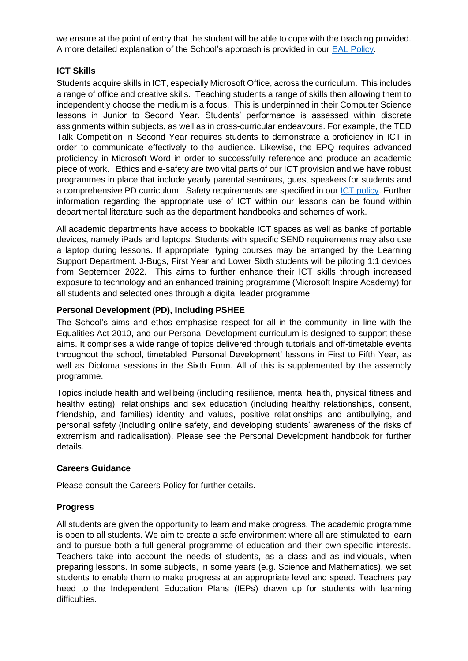we ensure at the point of entry that the student will be able to cope with the teaching provided. A more detailed explanation of the School's approach is provided in our [EAL Policy.](file://///vserver11/staff/Read/Policies/Academic%20-%20EAL%20Policy.docx)

## **ICT Skills**

Students acquire skills in ICT, especially Microsoft Office, across the curriculum. This includes a range of office and creative skills. Teaching students a range of skills then allowing them to independently choose the medium is a focus. This is underpinned in their Computer Science lessons in Junior to Second Year. Students' performance is assessed within discrete assignments within subjects, as well as in cross-curricular endeavours. For example, the TED Talk Competition in Second Year requires students to demonstrate a proficiency in ICT in order to communicate effectively to the audience. Likewise, the EPQ requires advanced proficiency in Microsoft Word in order to successfully reference and produce an academic piece of work. Ethics and e-safety are two vital parts of our ICT provision and we have robust programmes in place that include yearly parental seminars, guest speakers for students and a comprehensive PD curriculum. Safety requirements are specified in our [ICT policy.](https://trinityschoolcroydon.sharepoint.com/:b:/s/TS-Policy_Documents/EbBCgTEuy6xAnhh9By9PRRMBNyEGT4UxvI82f6QoUGZtLQ?e=kRR5ry) Further information regarding the appropriate use of ICT within our lessons can be found within departmental literature such as the department handbooks and schemes of work.

All academic departments have access to bookable ICT spaces as well as banks of portable devices, namely iPads and laptops. Students with specific SEND requirements may also use a laptop during lessons. If appropriate, typing courses may be arranged by the Learning Support Department. J-Bugs, First Year and Lower Sixth students will be piloting 1:1 devices from September 2022. This aims to further enhance their ICT skills through increased exposure to technology and an enhanced training programme (Microsoft Inspire Academy) for all students and selected ones through a digital leader programme.

## **Personal Development (PD), Including PSHEE**

The School's aims and ethos emphasise respect for all in the community, in line with the Equalities Act 2010, and our Personal Development curriculum is designed to support these aims. It comprises a wide range of topics delivered through tutorials and off-timetable events throughout the school, timetabled 'Personal Development' lessons in First to Fifth Year, as well as Diploma sessions in the Sixth Form. All of this is supplemented by the assembly programme.

Topics include health and wellbeing (including resilience, mental health, physical fitness and healthy eating), relationships and sex education (including healthy relationships, consent, friendship, and families) identity and values, positive relationships and antibullying, and personal safety (including online safety, and developing students' awareness of the risks of extremism and radicalisation). Please see the Personal Development handbook for further details.

#### **Careers Guidance**

Please consult the Careers Policy for further details.

#### **Progress**

All students are given the opportunity to learn and make progress. The academic programme is open to all students. We aim to create a safe environment where all are stimulated to learn and to pursue both a full general programme of education and their own specific interests. Teachers take into account the needs of students, as a class and as individuals, when preparing lessons. In some subjects, in some years (e.g. Science and Mathematics), we set students to enable them to make progress at an appropriate level and speed. Teachers pay heed to the Independent Education Plans (IEPs) drawn up for students with learning difficulties.